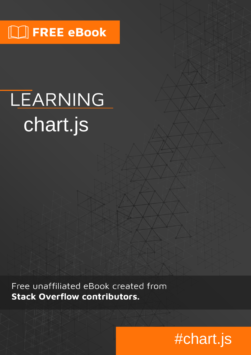# $\Box$  FREE eBook

# LEARNING chart.js

Free unaffiliated eBook created from **Stack Overflow contributors.** 

# #chart.js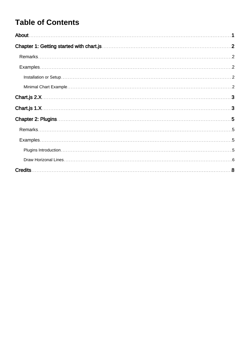### **Table of Contents**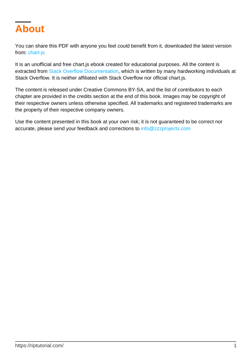<span id="page-2-0"></span>

You can share this PDF with anyone you feel could benefit from it, downloaded the latest version from: [chart-js](http://riptutorial.com/ebook/chart-js)

It is an unofficial and free chart.js ebook created for educational purposes. All the content is extracted from [Stack Overflow Documentation,](https://archive.org/details/documentation-dump.7z) which is written by many hardworking individuals at Stack Overflow. It is neither affiliated with Stack Overflow nor official chart.js.

The content is released under Creative Commons BY-SA, and the list of contributors to each chapter are provided in the credits section at the end of this book. Images may be copyright of their respective owners unless otherwise specified. All trademarks and registered trademarks are the property of their respective company owners.

Use the content presented in this book at your own risk; it is not guaranteed to be correct nor accurate, please send your feedback and corrections to [info@zzzprojects.com](mailto:info@zzzprojects.com)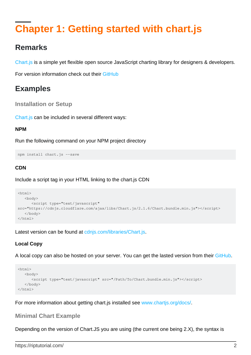### <span id="page-3-0"></span>**Chapter 1: Getting started with chart.js**

### <span id="page-3-1"></span>**Remarks**

[Chart.js](http://www.chartjs.org/) is a simple yet flexible open source JavaScript charting library for designers & developers.

<span id="page-3-2"></span>For version information check out their [GitHub](https://github.com/chartjs/Chart.js/releases)

### **Examples**

<span id="page-3-3"></span>**Installation or Setup**

[Chart.js](http://www.chartjs.org) can be included in several different ways:

#### **NPM**

Run the following command on your NPM project directory

```
npm install chart.js --save
```
#### **CDN**

Include a script tag in your HTML linking to the chart.js CDN

```
<html> <body>
      <script type="text/javascript"
src="https://cdnjs.cloudflare.com/ajax/libs/Chart.js/2.1.6/Chart.bundle.min.js"></script>
   </body>
</html>
```
Latest version can be found at conjs.com/libraries/Chart.js.

### **Local Copy**

A local copy can also be hosted on your server. You can get the lasted version from their [GitHub.](https://github.com/chartjs/Chart.js/releases)

```
<html> <body>
       <script type="text/javascript" src="/Path/To/Chart.bundle.min.js"></script>
    </body>
\langle/html>
```
<span id="page-3-4"></span>For more information about getting chart. is installed see www.chartis.org/docs/.

#### **Minimal Chart Example**

Depending on the version of Chart.JS you are using (the current one being 2.X), the syntax is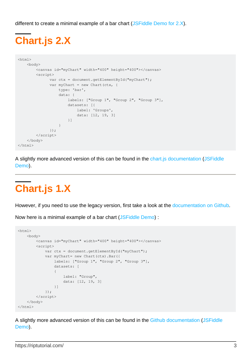<span id="page-4-0"></span>different to create a minimal example of a bar chart [\(JSFiddle Demo for 2.X\)](https://jsfiddle.net/ywdguuz7/2/).

# **Chart.js 2.X**

```
<html>
    <body>
        <canvas id="myChart" width="400" height="400"></canvas>
        <script>
              var ctx = document.getElementById("myChart");
             var myChart = new Chart(ctx, {
                  type: 'bar',
                  data: {
                     labels: ["Group 1", "Group 2", "Group 3"],
                      datasets: [{
                         label: 'Groups',
                          data: [12, 19, 3]
 }]
 }
              });
        </script>
    </body>
\langle/html>
```
A slightly more advanced version of this can be found in the [chart.js documentation](http://www.chartjs.org/docs/#getting-started-creating-a-chart) [\(JSFiddle](https://jsfiddle.net/ywdguuz7/1/) [Demo](https://jsfiddle.net/ywdguuz7/1/)).

# <span id="page-4-1"></span>**Chart.js 1.X**

However, if you need to use the legacy version, first take a look at the [documentation on Github.](https://github.com/chartjs/Chart.js/tree/v1.1.1/docs)

Now here is a minimal example of a bar chart [\(JSFiddle Demo](https://jsfiddle.net/cocw07xx/)) :

```
<html> <body>
                 <canvas id="myChart" width="400" height="400"></canvas>
                  <script>
                         var ctx = document.getElementById("myChart");
                        var myChart= new Chart(ctx).Bar({
                                  labels: ["Group 1", "Group 2", "Group 3"],
                                  datasets: [
\left\{ \begin{array}{cc} 0 & 0 & 0 \\ 0 & 0 & 0 \\ 0 & 0 & 0 \\ 0 & 0 & 0 \\ 0 & 0 & 0 \\ 0 & 0 & 0 \\ 0 & 0 & 0 \\ 0 & 0 & 0 \\ 0 & 0 & 0 \\ 0 & 0 & 0 \\ 0 & 0 & 0 \\ 0 & 0 & 0 \\ 0 & 0 & 0 & 0 \\ 0 & 0 & 0 & 0 \\ 0 & 0 & 0 & 0 \\ 0 & 0 & 0 & 0 & 0 \\ 0 & 0 & 0 & 0 & 0 \\ 0 & 0 & 0 & 0 & 0 \\ 0 & 0 & 0 & 0 & 0 & 0 \\ 0 label: "Group",
                                           data: [12, 19, 3]
                                  }]
                          });
                  </script>
         </body>
</html>
```
A slightly more advanced version of this can be found in the [Github documentation](https://github.com/chartjs/Chart.js/blob/v1.1.1/docs/02-Bar-Chart.md) ([JSFiddle](https://jsfiddle.net/cocw07xx/1/) [Demo](https://jsfiddle.net/cocw07xx/1/)).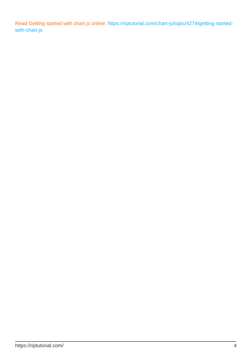Read Getting started with chart.js online: [https://riptutorial.com/chart-js/topic/4274/getting-started](https://riptutorial.com/chart-js/topic/4274/getting-started-with-chart-js)[with-chart-js](https://riptutorial.com/chart-js/topic/4274/getting-started-with-chart-js)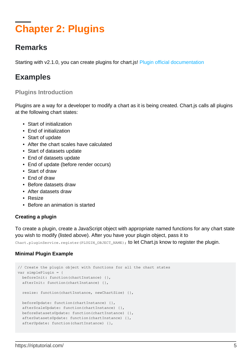## <span id="page-6-0"></span>**Chapter 2: Plugins**

### <span id="page-6-1"></span>**Remarks**

<span id="page-6-2"></span>Starting with v2.1.0, you can create plugins for chart.js! [Plugin official documentation](http://www.chartjs.org/docs/#advanced-usage-creating-plugins)

### **Examples**

### <span id="page-6-3"></span>**Plugins Introduction**

Plugins are a way for a developer to modify a chart as it is being created. Chart.js calls all plugins at the following chart states:

- Start of initialization
- End of initialization
- Start of update
- After the chart scales have calculated
- Start of datasets update
- End of datasets update
- End of update (before render occurs)
- Start of draw
- End of draw
- Before datasets draw
- After datasets draw
- Resize
- Before an animation is started

#### **Creating a plugin**

To create a plugin, create a JavaScript object with appropriate named functions for any chart state you wish to modify (listed above). After you have your plugin object, pass it to

Chart.pluginService.register(PLUGIN\_OBJECT\_NAME); to let Chart.js know to register the plugin.

#### **Minimal Plugin Example**

```
// Create the plugin object with functions for all the chart states
var simplePlugin = {
  beforeInit: function(chartInstance) {},
   afterInit: function(chartInstance) {},
   resize: function(chartInstance, newChartSize) {},
   beforeUpdate: function(chartInstance) {},
   afterScaleUpdate: function(chartInstance) {},
   beforeDatasetsUpdate: function(chartInstance) {},
   afterDatasetsUpdate: function(chartInstance) {},
   afterUpdate: function(chartInstance) {},
```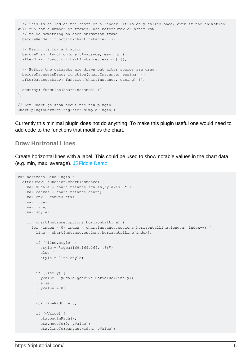```
 // This is called at the start of a render. It is only called once, even if the animation
will run for a number of frames. Use beforeDraw or afterDraw
  // to do something on each animation frame
  beforeRender: function(chartInstance) {},
   // Easing is for animation
   beforeDraw: function(chartInstance, easing) {},
   afterDraw: function(chartInstance, easing) {},
   // Before the datasets are drawn but after scales are drawn
   beforeDatasetsDraw: function(chartInstance, easing) {},
   afterDatasetsDraw: function(chartInstance, easing) {},
   destroy: function(chartInstance) {}
};
// Let Chart.js know about the new plugin
Chart.pluginService.register(simplePlugin);
```
Currently this minimal plugin does not do anything. To make this plugin useful one would need to add code to the functions that modifies the chart.

#### <span id="page-7-0"></span>**Draw Horizonal Lines**

Create horizontal lines with a label. This could be used to show notable values in the chart data (e.g. min, max, average). [JSFiddle Demo](http://jsfiddle.net/Lgtzcr7v/2/)

```
var horizonalLinePlugin = {
   afterDraw: function(chartInstance) {
    var yScale = chartInstance.scales["y-axis-0"];
    var canvas = chartInstance.chart;
   var ctx = canvas.ctx;
    var index;
    var line;
     var style;
     if (chartInstance.options.horizontalLine) {
     for (index = 0; index < chartInstance.options.horizontalLine.length; index++) {
         line = chartInstance.options.horizontalLine[index];
         if (!line.style) {
          style = "rqba(169,169,169, .6)";
         } else {
           style = line.style;
 }
         if (line.y) {
          yValue = yScale.getPixelForValue(line.y);
         } else {
           yValue = 0;
 }
         ctx.lineWidth = 3;
         if (yValue) {
           ctx.beginPath();
           ctx.moveTo(0, yValue);
           ctx.lineTo(canvas.width, yValue);
```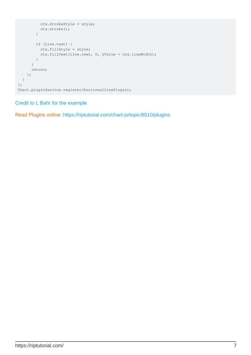```
 ctx.strokeStyle = style;
           ctx.stroke();
         }
         if (line.text) {
           ctx.fillStyle = style;
           ctx.fillText(line.text, 0, yValue + ctx.lineWidth);
         }
       }
       return;
     };
   }
};
Chart.pluginService.register(horizonalLinePlugin);
```
#### [Credit to L Bahr for the example](http://stackoverflow.com/a/38339579/6194193)

Read Plugins online:<https://riptutorial.com/chart-js/topic/6510/plugins>